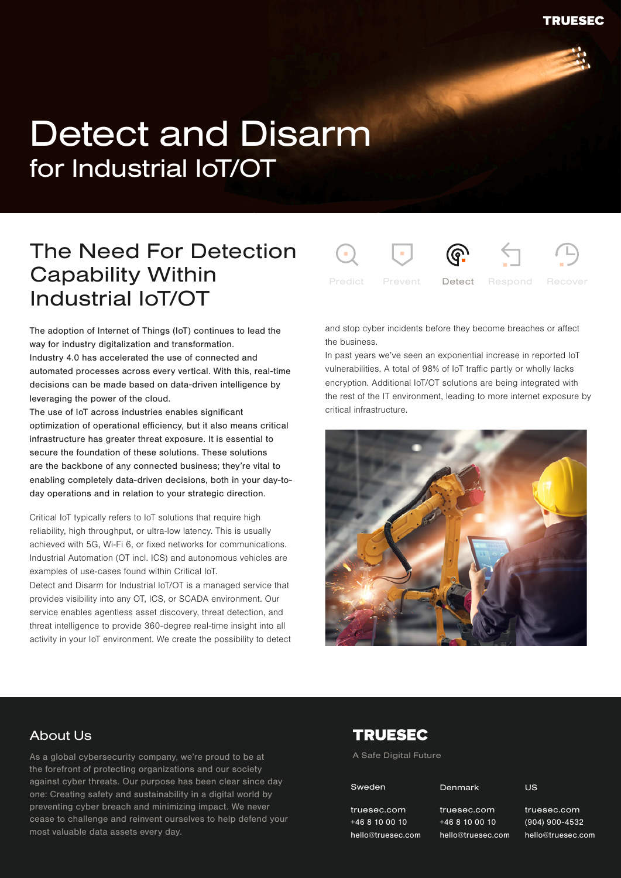# Detect and Disarm for Industrial IoT/OT

## The Need For Detection Capability Within Industrial IoT/OT

The adoption of Internet of Things (IoT) continues to lead the way for industry digitalization and transformation. Industry 4.0 has accelerated the use of connected and automated processes across every vertical. With this, real-time decisions can be made based on data-driven intelligence by leveraging the power of the cloud.

The use of IoT across industries enables significant optimization of operational efficiency, but it also means critical infrastructure has greater threat exposure. It is essential to secure the foundation of these solutions. These solutions are the backbone of any connected business; they're vital to enabling completely data-driven decisions, both in your day-today operations and in relation to your strategic direction.

Critical IoT typically refers to IoT solutions that require high reliability, high throughput, or ultra-low latency. This is usually achieved with 5G, Wi-Fi 6, or fixed networks for communications. Industrial Automation (OT incl. ICS) and autonomous vehicles are examples of use-cases found within Critical IoT.

Detect and Disarm for Industrial IoT/OT is a managed service that provides visibility into any OT, ICS, or SCADA environment. Our service enables agentless asset discovery, threat detection, and threat intelligence to provide 360-degree real-time insight into all activity in your IoT environment. We create the possibility to detect



and stop cyber incidents before they become breaches or affect the business.

In past years we've seen an exponential increase in reported IoT vulnerabilities. A total of 98% of IoT traffic partly or wholly lacks encryption. Additional IoT/OT solutions are being integrated with the rest of the IT environment, leading to more internet exposure by critical infrastructure.



#### About Us

.<br>cease to challenge and reinvent ourselves to help defend your As a global cybersecurity company, we're proud to be at the forefront of protecting organizations and our society against cyber threats. Our purpose has been clear since day one: Creating safety and sustainability in a digital world by preventing cyber breach and minimizing impact. We never most valuable data assets every day.

#### **TRUESEC**

A Safe Digital Future

| Sweden |  |  |
|--------|--|--|
|        |  |  |

Denmark

truesec.com +46 8 10 00 10 hello@truesec.com truesec.com +46 8 10 00 10

truesec.com +46 8 10 00 10 n hello@truesec.com truesec.com

(904) 900-4532 (904) 900-4532 hello@truesec.com truesec.com

US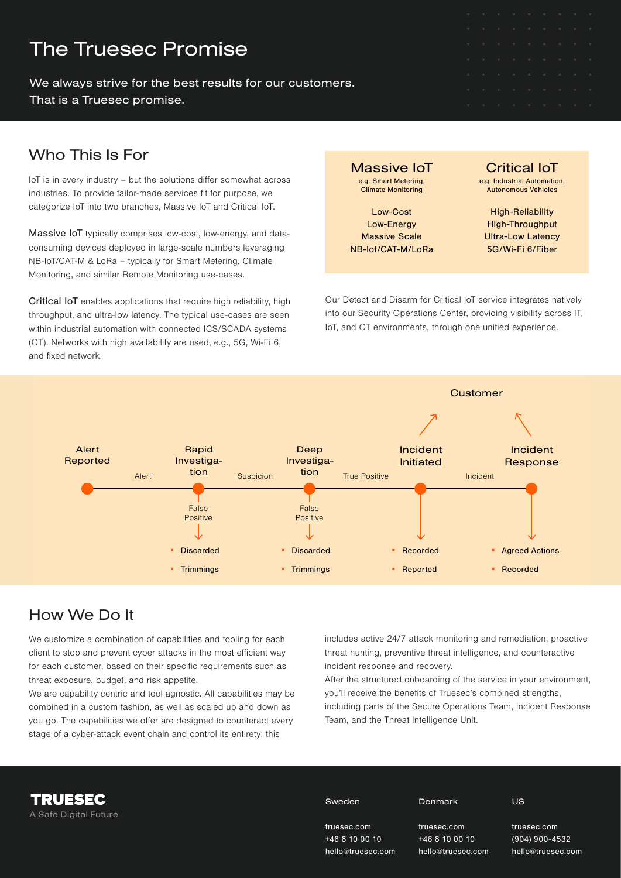### The Truesec Promise

We always strive for the best results for our customers. That is a Truesec promise.

#### Who This Is For

IoT is in every industry – but the solutions differ somewhat across industries. To provide tailor-made services fit for purpose, we categorize IoT into two branches, Massive IoT and Critical IoT.

Massive IoT typically comprises low-cost, low-energy, and dataconsuming devices deployed in large-scale numbers leveraging NB-IoT/CAT-M & LoRa – typically for Smart Metering, Climate Monitoring, and similar Remote Monitoring use-cases.

Critical IoT enables applications that require high reliability, high throughput, and ultra-low latency. The typical use-cases are seen within industrial automation with connected ICS/SCADA systems (OT). Networks with high availability are used, e.g., 5G, Wi-Fi 6, and fixed network.

Massive IoT e.g. Smart Metering, Climate Monitoring

Low-Cost Low-Energy Massive Scale NB-Iot/CAT-M/LoRa

Critical IoT e.g. Industrial Automation Autonomous Vehicles

High-Reliability High-Throughput Ultra-Low Latency 5G/Wi-Fi 6/Fiber

Our Detect and Disarm for Critical IoT service integrates natively into our Security Operations Center, providing visibility across IT, IoT, and OT environments, through one unified experience.



### How We Do It

A Safe Digital Future

**TRUESEC** 

We customize a combination of capabilities and tooling for each client to stop and prevent cyber attacks in the most efficient way for each customer, based on their specific requirements such as threat exposure, budget, and risk appetite.

We are capability centric and tool agnostic. All capabilities may be combined in a custom fashion, as well as scaled up and down as you go. The capabilities we offer are designed to counteract every stage of a cyber-attack event chain and control its entirety; this

includes active 24/7 attack monitoring and remediation, proactive threat hunting, preventive threat intelligence, and counteractive incident response and recovery.

After the structured onboarding of the service in your environment, you'll receive the benefits of Truesec's combined strengths, including parts of the Secure Operations Team, Incident Response Team, and the Threat Intelligence Unit.

hello@truesec.com

 $1532$ hello@truesec.com

| Sweden       | Denmark      | <b>US</b>      |
|--------------|--------------|----------------|
| truesec.com  | truesec.com  | truesec.com    |
| $+468100010$ | $+468100010$ | $(904)$ 900-45 |

hello@truesec.com